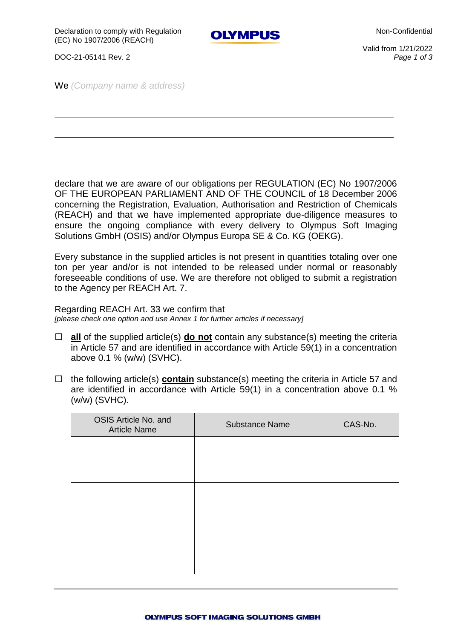Non-Confidential

**OLYMPUS** 

DOC-21-05141 Rev. 2 *Page 1 of 3*

Valid from 1/21/2022

We *(Company name & address)*

declare that we are aware of our obligations per REGULATION (EC) No 1907/2006 OF THE EUROPEAN PARLIAMENT AND OF THE COUNCIL of 18 December 2006 concerning the Registration, Evaluation, Authorisation and Restriction of Chemicals (REACH) and that we have implemented appropriate due-diligence measures to ensure the ongoing compliance with every delivery to Olympus Soft Imaging Solutions GmbH (OSIS) and/or Olympus Europa SE & Co. KG (OEKG).

Every substance in the supplied articles is not present in quantities totaling over one ton per year and/or is not intended to be released under normal or reasonably foreseeable conditions of use. We are therefore not obliged to submit a registration to the Agency per REACH Art. 7.

Regarding REACH Art. 33 we confirm that

*[please check one option and use Annex 1 for further articles if necessary]*

- **all** of the supplied article(s) **do not** contain any substance(s) meeting the criteria in Article 57 and are identified in accordance with Article 59(1) in a concentration above 0.1 % (w/w) (SVHC).
- $\Box$  the following article(s) **contain** substance(s) meeting the criteria in Article 57 and are identified in accordance with Article 59(1) in a concentration above 0.1 % (w/w) (SVHC).

| OSIS Article No. and<br><b>Article Name</b> | <b>Substance Name</b> | CAS-No. |
|---------------------------------------------|-----------------------|---------|
|                                             |                       |         |
|                                             |                       |         |
|                                             |                       |         |
|                                             |                       |         |
|                                             |                       |         |
|                                             |                       |         |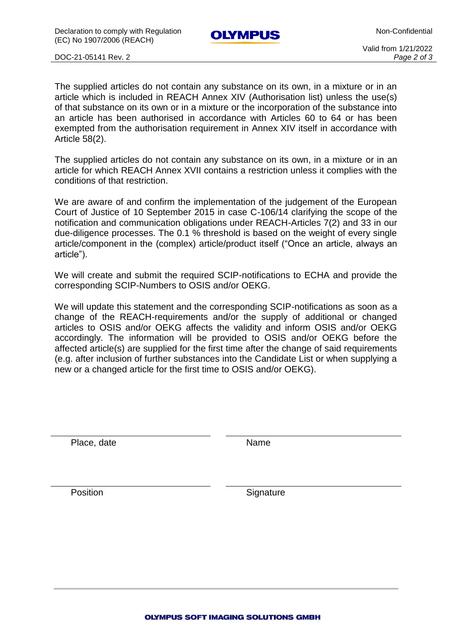Declaration to comply with Regulation (EC) No 1907/2006 (REACH)

**OLYMPUS** 

Non-Confidential

DOC-21-05141 Rev. 2 *Page 2 of 3*

Valid from 1/21/2022

The supplied articles do not contain any substance on its own, in a mixture or in an article which is included in REACH Annex XIV (Authorisation list) unless the use(s) of that substance on its own or in a mixture or the incorporation of the substance into an article has been authorised in accordance with Articles 60 to 64 or has been exempted from the authorisation requirement in Annex XIV itself in accordance with Article 58(2).

The supplied articles do not contain any substance on its own, in a mixture or in an article for which REACH Annex XVII contains a restriction unless it complies with the conditions of that restriction.

We are aware of and confirm the implementation of the judgement of the European Court of Justice of 10 September 2015 in case C-106/14 clarifying the scope of the notification and communication obligations under REACH-Articles 7(2) and 33 in our due-diligence processes. The 0.1 % threshold is based on the weight of every single article/component in the (complex) article/product itself ("Once an article, always an article").

We will create and submit the required SCIP-notifications to ECHA and provide the corresponding SCIP-Numbers to OSIS and/or OEKG.

We will update this statement and the corresponding SCIP-notifications as soon as a change of the REACH-requirements and/or the supply of additional or changed articles to OSIS and/or OEKG affects the validity and inform OSIS and/or OEKG accordingly. The information will be provided to OSIS and/or OEKG before the affected article(s) are supplied for the first time after the change of said requirements (e.g. after inclusion of further substances into the Candidate List or when supplying a new or a changed article for the first time to OSIS and/or OEKG).

Place, date Name

Position Signature